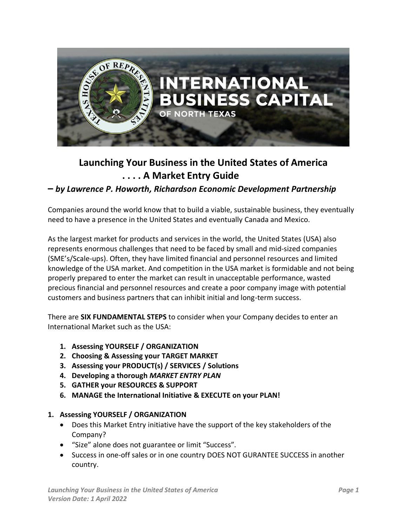

# **Launching Your Business in the United States of America . . . . A Market Entry Guide**

# **–** *by Lawrence P. Howorth, Richardson Economic Development Partnership*

Companies around the world know that to build a viable, sustainable business, they eventually need to have a presence in the United States and eventually Canada and Mexico.

As the largest market for products and services in the world, the United States (USA) also represents enormous challenges that need to be faced by small and mid-sized companies (SME's/Scale-ups). Often, they have limited financial and personnel resources and limited knowledge of the USA market. And competition in the USA market is formidable and not being properly prepared to enter the market can result in unacceptable performance, wasted precious financial and personnel resources and create a poor company image with potential customers and business partners that can inhibit initial and long-term success.

There are **SIX FUNDAMENTAL STEPS** to consider when your Company decides to enter an International Market such as the USA:

- **1. Assessing YOURSELF / ORGANIZATION**
- **2. Choosing & Assessing your TARGET MARKET**
- **3. Assessing your PRODUCT(s) / SERVICES / Solutions**
- **4. Developing a thorough** *MARKET ENTRY PLAN*
- **5. GATHER your RESOURCES & SUPPORT**
- **6. MANAGE the International Initiative & EXECUTE on your PLAN!**

#### **1. Assessing YOURSELF / ORGANIZATION**

- Does this Market Entry initiative have the support of the key stakeholders of the Company?
- "Size" alone does not guarantee or limit "Success".
- Success in one-off sales or in one country DOES NOT GURANTEE SUCCESS in another country.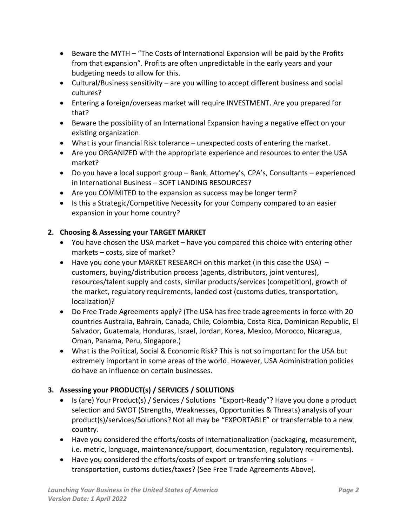- Beware the MYTH "The Costs of International Expansion will be paid by the Profits from that expansion". Profits are often unpredictable in the early years and your budgeting needs to allow for this.
- Cultural/Business sensitivity are you willing to accept different business and social cultures?
- Entering a foreign/overseas market will require INVESTMENT. Are you prepared for that?
- Beware the possibility of an International Expansion having a negative effect on your existing organization.
- What is your financial Risk tolerance unexpected costs of entering the market.
- Are you ORGANIZED with the appropriate experience and resources to enter the USA market?
- Do you have a local support group Bank, Attorney's, CPA's, Consultants experienced in International Business – SOFT LANDING RESOURCES?
- Are you COMMITED to the expansion as success may be longer term?
- Is this a Strategic/Competitive Necessity for your Company compared to an easier expansion in your home country?

# **2. Choosing & Assessing your TARGET MARKET**

- You have chosen the USA market have you compared this choice with entering other markets – costs, size of market?
- Have you done your MARKET RESEARCH on this market (in this case the USA) customers, buying/distribution process (agents, distributors, joint ventures), resources/talent supply and costs, similar products/services (competition), growth of the market, regulatory requirements, landed cost (customs duties, transportation, localization)?
- Do Free Trade Agreements apply? (The USA has free trade agreements in force with 20 countries Australia, Bahrain, Canada, Chile, Colombia, Costa Rica, Dominican Republic, El Salvador, Guatemala, Honduras, Israel, Jordan, Korea, Mexico, Morocco, Nicaragua, Oman, Panama, Peru, Singapore.)
- What is the Political, Social & Economic Risk? This is not so important for the USA but extremely important in some areas of the world. However, USA Administration policies do have an influence on certain businesses.

# **3. Assessing your PRODUCT(s) / SERVICES / SOLUTIONS**

- Is (are) Your Product(s) / Services / Solutions "Export-Ready"? Have you done a product selection and SWOT (Strengths, Weaknesses, Opportunities & Threats) analysis of your product(s)/services/Solutions? Not all may be "EXPORTABLE" or transferrable to a new country.
- Have you considered the efforts/costs of internationalization (packaging, measurement, i.e. metric, language, maintenance/support, documentation, regulatory requirements).
- Have you considered the efforts/costs of export or transferring solutions transportation, customs duties/taxes? (See Free Trade Agreements Above).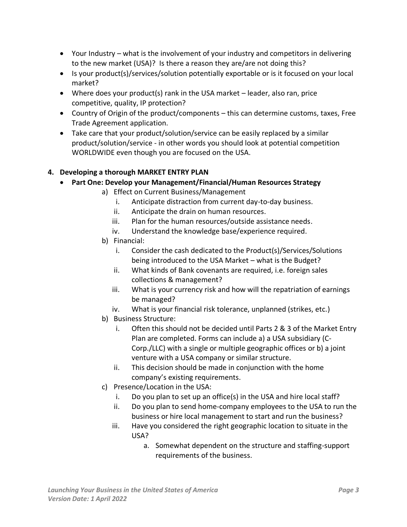- Your Industry what is the involvement of your industry and competitors in delivering to the new market (USA)? Is there a reason they are/are not doing this?
- Is your product(s)/services/solution potentially exportable or is it focused on your local market?
- Where does your product(s) rank in the USA market leader, also ran, price competitive, quality, IP protection?
- Country of Origin of the product/components this can determine customs, taxes, Free Trade Agreement application.
- Take care that your product/solution/service can be easily replaced by a similar product/solution/service - in other words you should look at potential competition WORLDWIDE even though you are focused on the USA.

#### **4. Developing a thorough MARKET ENTRY PLAN**

- **Part One: Develop your Management/Financial/Human Resources Strategy**
	- a) Effect on Current Business/Management
		- i. Anticipate distraction from current day-to-day business.
		- ii. Anticipate the drain on human resources.
		- iii. Plan for the human resources/outside assistance needs.
		- iv. Understand the knowledge base/experience required.
	- b) Financial:
		- i. Consider the cash dedicated to the Product(s)/Services/Solutions being introduced to the USA Market – what is the Budget?
		- ii. What kinds of Bank covenants are required, i.e. foreign sales collections & management?
		- iii. What is your currency risk and how will the repatriation of earnings be managed?
		- iv. What is your financial risk tolerance, unplanned (strikes, etc.)
	- b) Business Structure:
		- i. Often this should not be decided until Parts 2 & 3 of the Market Entry Plan are completed. Forms can include a) a USA subsidiary (C-Corp./LLC) with a single or multiple geographic offices or b) a joint venture with a USA company or similar structure.
		- ii. This decision should be made in conjunction with the home company's existing requirements.
	- c) Presence/Location in the USA:
		- i. Do you plan to set up an office(s) in the USA and hire local staff?
		- ii. Do you plan to send home-company employees to the USA to run the business or hire local management to start and run the business?
		- iii. Have you considered the right geographic location to situate in the USA?
			- a. Somewhat dependent on the structure and staffing-support requirements of the business.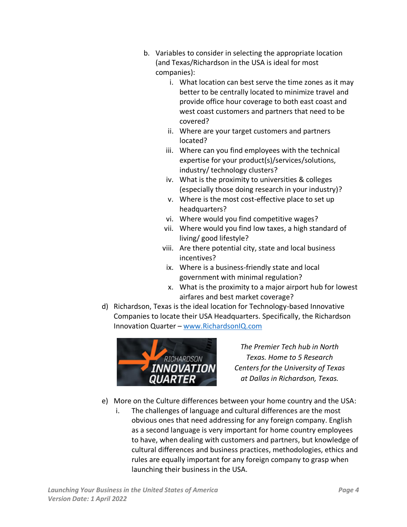- b. Variables to consider in selecting the appropriate location (and Texas/Richardson in the USA is ideal for most companies):
	- i. What location can best serve the time zones as it may better to be centrally located to minimize travel and provide office hour coverage to both east coast and west coast customers and partners that need to be covered?
	- ii. Where are your target customers and partners located?
	- iii. Where can you find employees with the technical expertise for your product(s)/services/solutions, industry/ technology clusters?
	- iv. What is the proximity to universities & colleges (especially those doing research in your industry)?
	- v. Where is the most cost-effective place to set up headquarters?
	- vi. Where would you find competitive wages?
	- vii. Where would you find low taxes, a high standard of living/ good lifestyle?
	- viii. Are there potential city, state and local business incentives?
	- ix. Where is a business-friendly state and local government with minimal regulation?
	- x. What is the proximity to a major airport hub for lowest airfares and best market coverage?
- d) Richardson, Texas is the ideal location for Technology-based Innovative Companies to locate their USA Headquarters. Specifically, the Richardson Innovation Quarter – [www.RichardsonIQ.com](http://www.richardsoniq.com/)



*The Premier Tech hub in North Texas. Home to 5 Research Centers for the University of Texas at Dallas in Richardson, Texas.*

- e) More on the Culture differences between your home country and the USA:
	- i. The challenges of language and cultural differences are the most obvious ones that need addressing for any foreign company. English as a second language is very important for home country employees to have, when dealing with customers and partners, but knowledge of cultural differences and business practices, methodologies, ethics and rules are equally important for any foreign company to grasp when launching their business in the USA.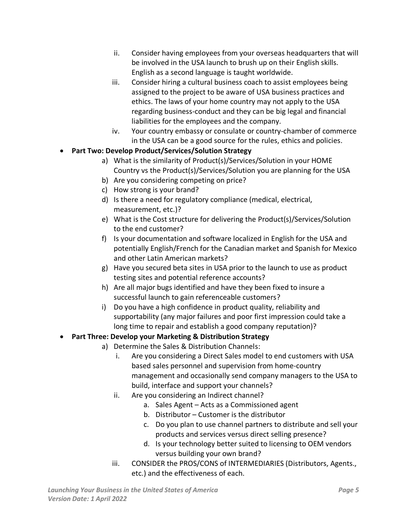- ii. Consider having employees from your overseas headquarters that will be involved in the USA launch to brush up on their English skills. English as a second language is taught worldwide.
- iii. Consider hiring a cultural business coach to assist employees being assigned to the project to be aware of USA business practices and ethics. The laws of your home country may not apply to the USA regarding business-conduct and they can be big legal and financial liabilities for the employees and the company.
- iv. Your country embassy or consulate or country-chamber of commerce in the USA can be a good source for the rules, ethics and policies.
- **Part Two: Develop Product/Services/Solution Strategy**
	- a) What is the similarity of Product(s)/Services/Solution in your HOME Country vs the Product(s)/Services/Solution you are planning for the USA
	- b) Are you considering competing on price?
	- c) How strong is your brand?
	- d) Is there a need for regulatory compliance (medical, electrical, measurement, etc.)?
	- e) What is the Cost structure for delivering the Product(s)/Services/Solution to the end customer?
	- f) Is your documentation and software localized in English for the USA and potentially English/French for the Canadian market and Spanish for Mexico and other Latin American markets?
	- g) Have you secured beta sites in USA prior to the launch to use as product testing sites and potential reference accounts?
	- h) Are all major bugs identified and have they been fixed to insure a successful launch to gain referenceable customers?
	- i) Do you have a high confidence in product quality, reliability and supportability (any major failures and poor first impression could take a long time to repair and establish a good company reputation)?

#### • **Part Three: Develop your Marketing & Distribution Strategy**

- a) Determine the Sales & Distribution Channels:
	- i. Are you considering a Direct Sales model to end customers with USA based sales personnel and supervision from home-country management and occasionally send company managers to the USA to build, interface and support your channels?
	- ii. Are you considering an Indirect channel?
		- a. Sales Agent Acts as a Commissioned agent
		- b. Distributor Customer is the distributor
		- c. Do you plan to use channel partners to distribute and sell your products and services versus direct selling presence?
		- d. Is your technology better suited to licensing to OEM vendors versus building your own brand?
	- iii. CONSIDER the PROS/CONS of INTERMEDIARIES (Distributors, Agents., etc.) and the effectiveness of each.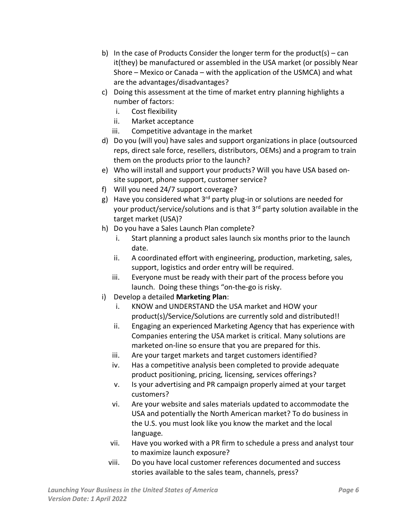- b) In the case of Products Consider the longer term for the product(s) can it(they) be manufactured or assembled in the USA market (or possibly Near Shore – Mexico or Canada – with the application of the USMCA) and what are the advantages/disadvantages?
- c) Doing this assessment at the time of market entry planning highlights a number of factors:
	- i. Cost flexibility
	- ii. Market acceptance
	- iii. Competitive advantage in the market
- d) Do you (will you) have sales and support organizations in place (outsourced reps, direct sale force, resellers, distributors, OEMs) and a program to train them on the products prior to the launch?
- e) Who will install and support your products? Will you have USA based onsite support, phone support, customer service?
- f) Will you need 24/7 support coverage?
- g) Have you considered what  $3<sup>rd</sup>$  party plug-in or solutions are needed for your product/service/solutions and is that 3<sup>rd</sup> party solution available in the target market (USA)?
- h) Do you have a Sales Launch Plan complete?
	- i. Start planning a product sales launch six months prior to the launch date.
	- ii. A coordinated effort with engineering, production, marketing, sales, support, logistics and order entry will be required.
	- iii. Everyone must be ready with their part of the process before you launch. Doing these things "on-the-go is risky.
- i) Develop a detailed **Marketing Plan**:
	- i. KNOW and UNDERSTAND the USA market and HOW your product(s)/Service/Solutions are currently sold and distributed!!
	- ii. Engaging an experienced Marketing Agency that has experience with Companies entering the USA market is critical. Many solutions are marketed on-line so ensure that you are prepared for this.
	- iii. Are your target markets and target customers identified?
	- iv. Has a competitive analysis been completed to provide adequate product positioning, pricing, licensing, services offerings?
	- v. Is your advertising and PR campaign properly aimed at your target customers?
	- vi. Are your website and sales materials updated to accommodate the USA and potentially the North American market? To do business in the U.S. you must look like you know the market and the local language.
	- vii. Have you worked with a PR firm to schedule a press and analyst tour to maximize launch exposure?
	- viii. Do you have local customer references documented and success stories available to the sales team, channels, press?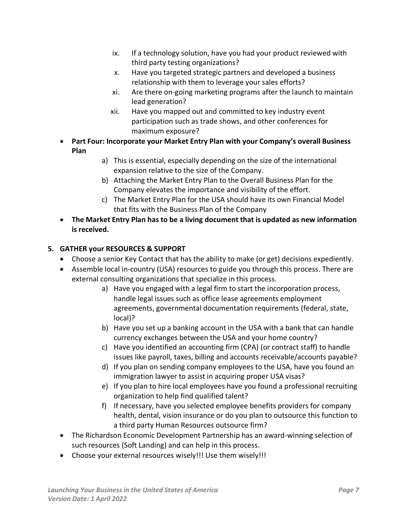- ix. If a technology solution, have you had your product reviewed with third party testing organizations?
- x. Have you targeted strategic partners and developed a business relationship with them to leverage your sales efforts?
- xi. Are there on-going marketing programs after the launch to maintain lead generation?
- xii. Have you mapped out and committed to key industry event participation such as trade shows, and other conferences for maximum exposure?
- **Part Four: Incorporate your Market Entry Plan with your Company's overall Business Plan**
	- a) This is essential, especially depending on the size of the international expansion relative to the size of the Company.
	- b) Attaching the Market Entry Plan to the Overall Business Plan for the Company elevates the importance and visibility of the effort.
	- c) The Market Entry Plan for the USA should have its own Financial Model that fits with the Business Plan of the Company
- **The Market Entry Plan has to be a living document that is updated as new information is received.**

# **5. GATHER your RESOURCES & SUPPORT**

- Choose a senior Key Contact that has the ability to make (or get) decisions expediently.
- Assemble local in-country (USA) resources to guide you through this process. There are external consulting organizations that specialize in this process.
	- a) Have you engaged with a legal firm to start the incorporation process, handle legal issues such as office lease agreements employment agreements, governmental documentation requirements (federal, state, local)?
	- b) Have you set up a banking account in the USA with a bank that can handle currency exchanges between the USA and your home country?
	- c) Have you identified an accounting firm (CPA) (or contract staff) to handle issues like payroll, taxes, billing and accounts receivable/accounts payable?
	- d) If you plan on sending company employees to the USA, have you found an immigration lawyer to assist in acquiring proper USA visas?
	- e) If you plan to hire local employees have you found a professional recruiting organization to help find qualified talent?
	- f) If necessary, have you selected employee benefits providers for company health, dental, vision insurance or do you plan to outsource this function to a third party Human Resources outsource firm?
- The Richardson Economic Development Partnership has an award-winning selection of such resources (Soft Landing) and can help in this process.
- Choose your external resources wisely!!! Use them wisely!!!